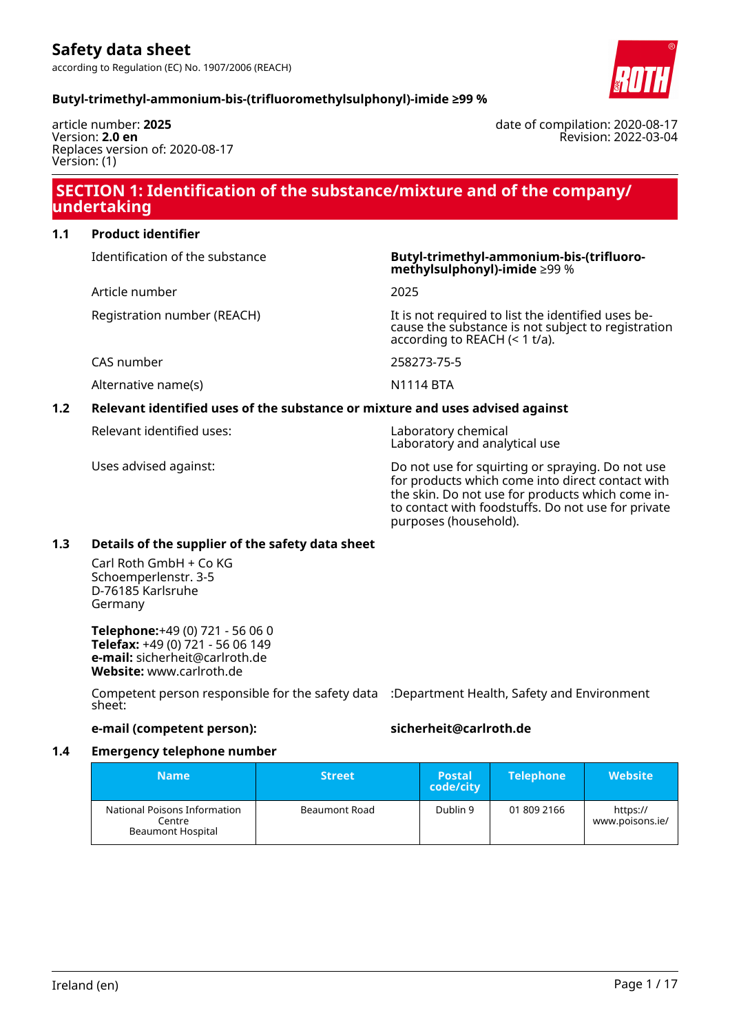Revision: 2022-03-04

date of compilation: 2020-08-17

## **Butyl-trimethyl-ammonium-bis-(trifluoromethylsulphonyl)-imide ≥99 %**

article number: **2025** Version: **2.0 en** Replaces version of: 2020-08-17 Version: (1)

# **SECTION 1: Identification of the substance/mixture and of the company/ undertaking**

# **1.1 Product identifier**

Identification of the substance **Butyl-trimethyl-ammonium-bis-(trifluoro-**

Article number 2025

Alternative name(s) National Management of the N1114 BTA

## **1.2 Relevant identified uses of the substance or mixture and uses advised against**

Relevant identified uses: Laboratory chemical

**methylsulphonyl)-imide** ≥99 %

Registration number (REACH) It is not required to list the identified uses because the substance is not subject to registration according to REACH (< 1 t/a).

CAS number 258273-75-5

Laboratory and analytical use

Uses advised against: Do not use for squirting or spraying. Do not use for products which come into direct contact with the skin. Do not use for products which come into contact with foodstuffs. Do not use for private purposes (household).

#### **1.3 Details of the supplier of the safety data sheet**

Carl Roth GmbH + Co KG Schoemperlenstr. 3-5 D-76185 Karlsruhe Germany

**Telephone:**+49 (0) 721 - 56 06 0 **Telefax:** +49 (0) 721 - 56 06 149 **e-mail:** sicherheit@carlroth.de **Website:** www.carlroth.de

Competent person responsible for the safety data :Department Health, Safety and Environment sheet:

# **e-mail (competent person): sicherheit@carlroth.de**

#### **1.4 Emergency telephone number**

| <b>Name</b>                                                 | <b>Street</b> | <b>Postal</b><br>code/city | <b>Telephone</b> | <b>Website</b>              |
|-------------------------------------------------------------|---------------|----------------------------|------------------|-----------------------------|
| National Poisons Information<br>Centre<br>Beaumont Hospital | Beaumont Road | Dublin 9                   | 01 809 2166      | https://<br>www.poisons.ie/ |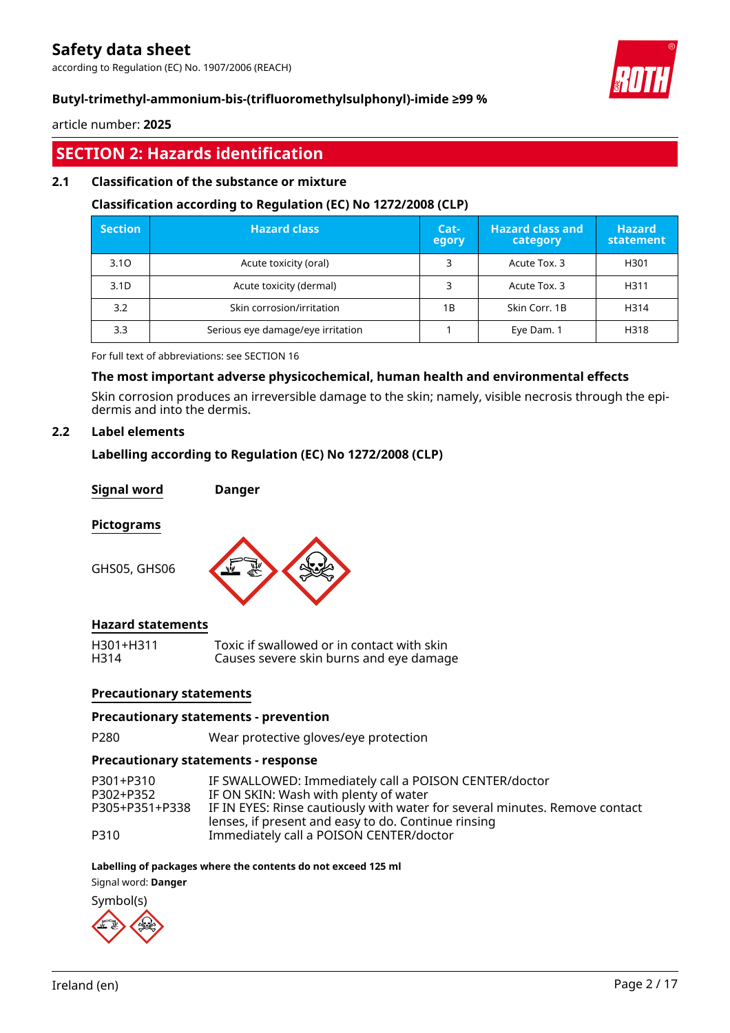according to Regulation (EC) No. 1907/2006 (REACH)



# **Butyl-trimethyl-ammonium-bis-(trifluoromethylsulphonyl)-imide ≥99 %**

article number: **2025**

# **SECTION 2: Hazards identification**

# **2.1 Classification of the substance or mixture**

### **Classification according to Regulation (EC) No 1272/2008 (CLP)**

| <b>Section</b>   | <b>Hazard class</b>               | Cat-<br>egory | <b>Hazard class and</b><br>category | <b>Hazard</b><br>statement |
|------------------|-----------------------------------|---------------|-------------------------------------|----------------------------|
| 3.10             | Acute toxicity (oral)             |               | Acute Tox. 3                        | H301                       |
| 3.1 <sub>D</sub> | Acute toxicity (dermal)           | 3             | Acute Tox. 3                        | H311                       |
| 3.2              | Skin corrosion/irritation         | 1B            | Skin Corr. 1B                       | H314                       |
| 3.3              | Serious eye damage/eye irritation |               | Eye Dam. 1                          | H318                       |

For full text of abbreviations: see SECTION 16

## **The most important adverse physicochemical, human health and environmental effects**

Skin corrosion produces an irreversible damage to the skin; namely, visible necrosis through the epidermis and into the dermis.

# **2.2 Label elements**

## **Labelling according to Regulation (EC) No 1272/2008 (CLP)**

**Signal word Danger**

#### **Pictograms**

GHS05, GHS06



# **Hazard statements**

H301+H311 Toxic if swallowed or in contact with skin Causes severe skin burns and eye damage

#### **Precautionary statements**

#### **Precautionary statements - prevention**

P280 Wear protective gloves/eye protection

#### **Precautionary statements - response**

| P301+P310      | IF SWALLOWED: Immediately call a POISON CENTER/doctor                       |
|----------------|-----------------------------------------------------------------------------|
| P302+P352      | IF ON SKIN: Wash with plenty of water                                       |
| P305+P351+P338 | IF IN EYES: Rinse cautiously with water for several minutes. Remove contact |
|                | lenses, if present and easy to do. Continue rinsing                         |
| P310           | Immediately call a POISON CENTER/doctor                                     |

#### **Labelling of packages where the contents do not exceed 125 ml**

Signal word: **Danger**

Symbol(s)

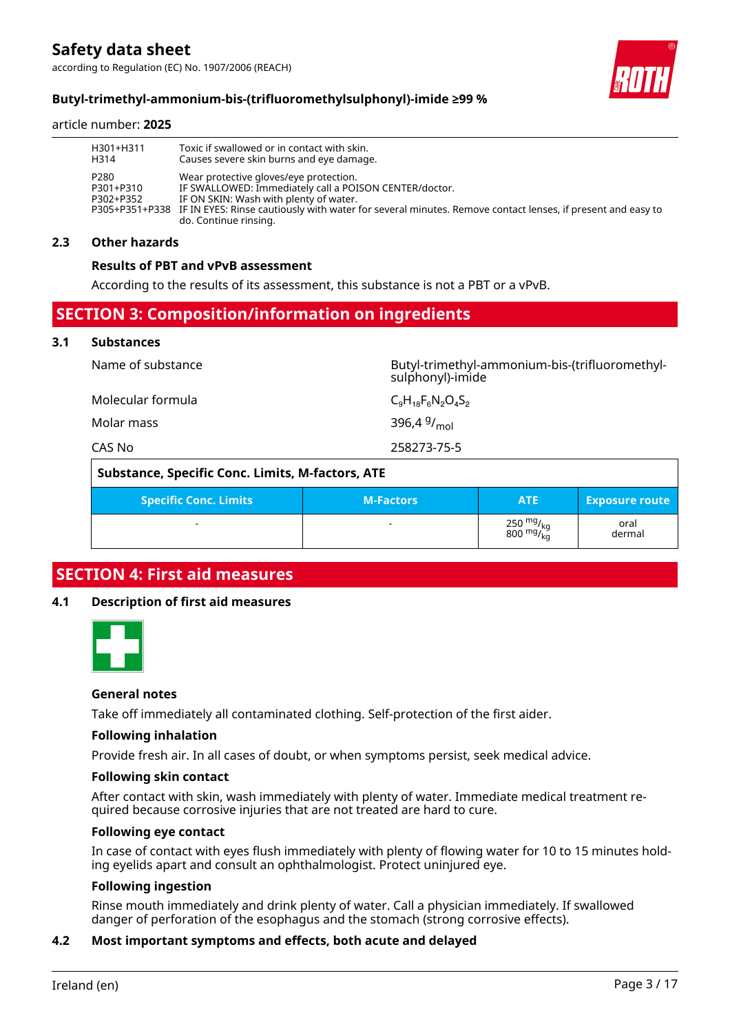according to Regulation (EC) No. 1907/2006 (REACH)



┑

# **Butyl-trimethyl-ammonium-bis-(trifluoromethylsulphonyl)-imide ≥99 %**

#### article number: **2025**

| H301+H311                      | Toxic if swallowed or in contact with skin.                                                                                                                                                                                                                                                      |
|--------------------------------|--------------------------------------------------------------------------------------------------------------------------------------------------------------------------------------------------------------------------------------------------------------------------------------------------|
| H314                           | Causes severe skin burns and eye damage.                                                                                                                                                                                                                                                         |
| P280<br>P301+P310<br>P302+P352 | Wear protective gloves/eye protection.<br>IF SWALLOWED: Immediately call a POISON CENTER/doctor.<br>IF ON SKIN: Wash with plenty of water.<br>P305+P351+P338 IF IN EYES: Rinse cautiously with water for several minutes. Remove contact lenses, if present and easy to<br>do. Continue rinsing. |

#### **2.3 Other hazards**

#### **Results of PBT and vPvB assessment**

According to the results of its assessment, this substance is not a PBT or a vPvB.

# **SECTION 3: Composition/information on ingredients**

#### **3.1 Substances**

| CAS No            | 258273-75-5                                                        |
|-------------------|--------------------------------------------------------------------|
| Molar mass        | 396,4 $9/$ <sub>mol</sub>                                          |
| Molecular formula | $C_9H_{18}F_6N_2O_4S_2$                                            |
| Name of substance | Butyl-trimethyl-ammonium-bis-(trifluoromethyl-<br>sulphonyl)-imide |

|                              | Substance, Specific Conc. Limits, M-factors, ATE |                                                              |                       |
|------------------------------|--------------------------------------------------|--------------------------------------------------------------|-----------------------|
| <b>Specific Conc. Limits</b> | <b>M-Factors</b>                                 | <b>ATE</b>                                                   | <b>Exposure route</b> |
|                              |                                                  | $\frac{250}{800}$ mg/ <sub>kg</sub><br>800 mg/ <sub>kg</sub> | oral<br>dermal        |

# **SECTION 4: First aid measures**

#### **4.1 Description of first aid measures**



#### **General notes**

Take off immediately all contaminated clothing. Self-protection of the first aider.

#### **Following inhalation**

Provide fresh air. In all cases of doubt, or when symptoms persist, seek medical advice.

#### **Following skin contact**

After contact with skin, wash immediately with plenty of water. Immediate medical treatment required because corrosive injuries that are not treated are hard to cure.

#### **Following eye contact**

In case of contact with eyes flush immediately with plenty of flowing water for 10 to 15 minutes holding eyelids apart and consult an ophthalmologist. Protect uninjured eye.

#### **Following ingestion**

Rinse mouth immediately and drink plenty of water. Call a physician immediately. If swallowed danger of perforation of the esophagus and the stomach (strong corrosive effects).

#### **4.2 Most important symptoms and effects, both acute and delayed**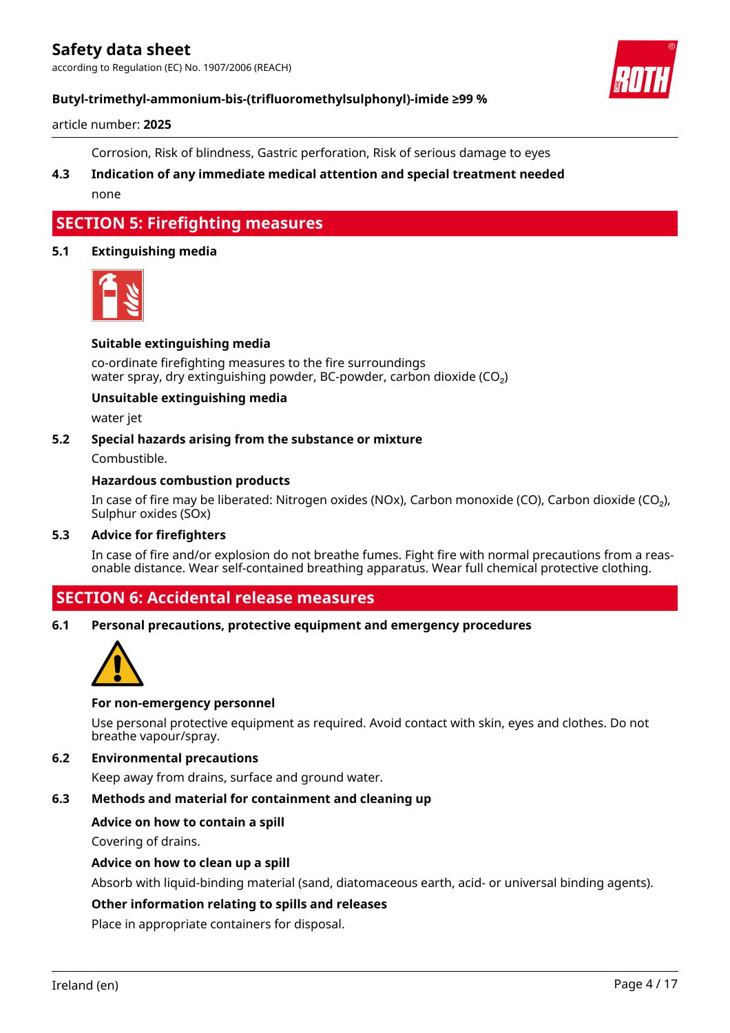according to Regulation (EC) No. 1907/2006 (REACH)



# **Butyl-trimethyl-ammonium-bis-(trifluoromethylsulphonyl)-imide ≥99 %**

article number: **2025**

Corrosion, Risk of blindness, Gastric perforation, Risk of serious damage to eyes

**4.3 Indication of any immediate medical attention and special treatment needed** none

# **SECTION 5: Firefighting measures**

#### **5.1 Extinguishing media**



#### **Suitable extinguishing media**

co-ordinate firefighting measures to the fire surroundings water spray, dry extinguishing powder, BC-powder, carbon dioxide (CO<sub>2</sub>)

#### **Unsuitable extinguishing media**

water jet

#### **5.2 Special hazards arising from the substance or mixture**

Combustible.

#### **Hazardous combustion products**

In case of fire may be liberated: Nitrogen oxides (NOx), Carbon monoxide (CO), Carbon dioxide (CO₂), Sulphur oxides (SOx)

### **5.3 Advice for firefighters**

In case of fire and/or explosion do not breathe fumes. Fight fire with normal precautions from a reasonable distance. Wear self-contained breathing apparatus. Wear full chemical protective clothing.

# **SECTION 6: Accidental release measures**

**6.1 Personal precautions, protective equipment and emergency procedures**



#### **For non-emergency personnel**

Use personal protective equipment as required. Avoid contact with skin, eyes and clothes. Do not breathe vapour/spray.

# **6.2 Environmental precautions**

Keep away from drains, surface and ground water.

# **6.3 Methods and material for containment and cleaning up**

#### **Advice on how to contain a spill**

Covering of drains.

#### **Advice on how to clean up a spill**

Absorb with liquid-binding material (sand, diatomaceous earth, acid- or universal binding agents).

#### **Other information relating to spills and releases**

Place in appropriate containers for disposal.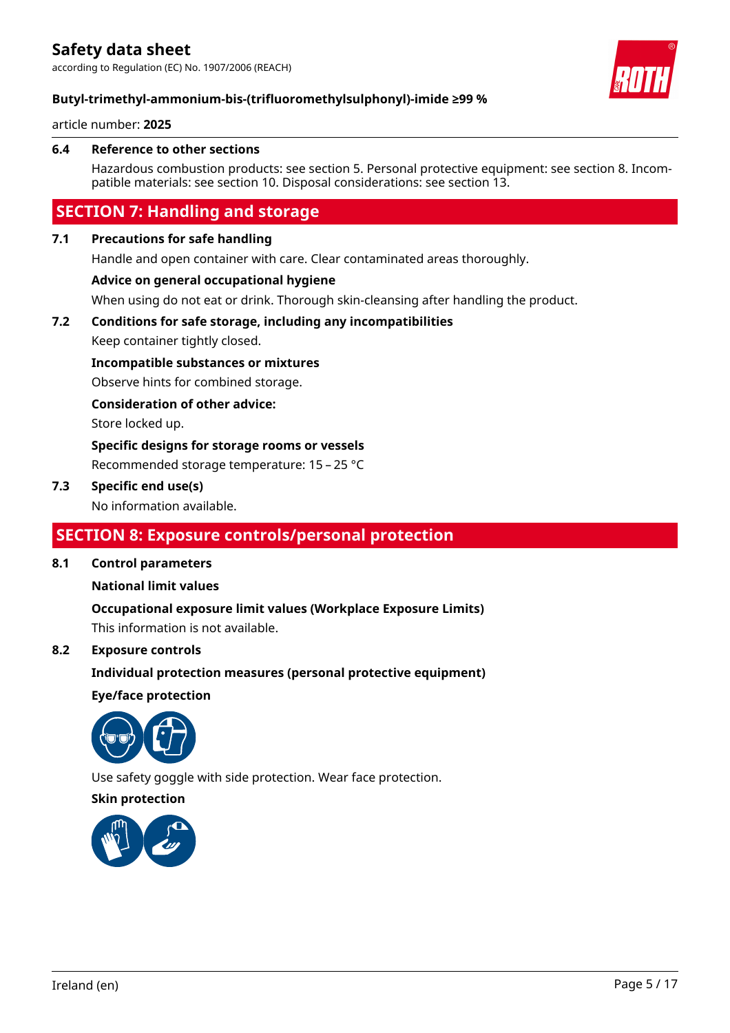according to Regulation (EC) No. 1907/2006 (REACH)



# **Butyl-trimethyl-ammonium-bis-(trifluoromethylsulphonyl)-imide ≥99 %**

article number: **2025**

#### **6.4 Reference to other sections**

Hazardous combustion products: see section 5. Personal protective equipment: see section 8. Incompatible materials: see section 10. Disposal considerations: see section 13.

# **SECTION 7: Handling and storage**

#### **7.1 Precautions for safe handling**

Handle and open container with care. Clear contaminated areas thoroughly.

#### **Advice on general occupational hygiene**

When using do not eat or drink. Thorough skin-cleansing after handling the product.

# **7.2 Conditions for safe storage, including any incompatibilities**

Keep container tightly closed.

### **Incompatible substances or mixtures**

Observe hints for combined storage.

#### **Consideration of other advice:**

Store locked up.

### **Specific designs for storage rooms or vessels**

Recommended storage temperature: 15 – 25 °C

### **7.3 Specific end use(s)**

No information available.

# **SECTION 8: Exposure controls/personal protection**

#### **8.1 Control parameters**

#### **National limit values**

**Occupational exposure limit values (Workplace Exposure Limits)** This information is not available.

#### **8.2 Exposure controls**

**Individual protection measures (personal protective equipment)**

#### **Eye/face protection**



Use safety goggle with side protection. Wear face protection.

# **Skin protection**

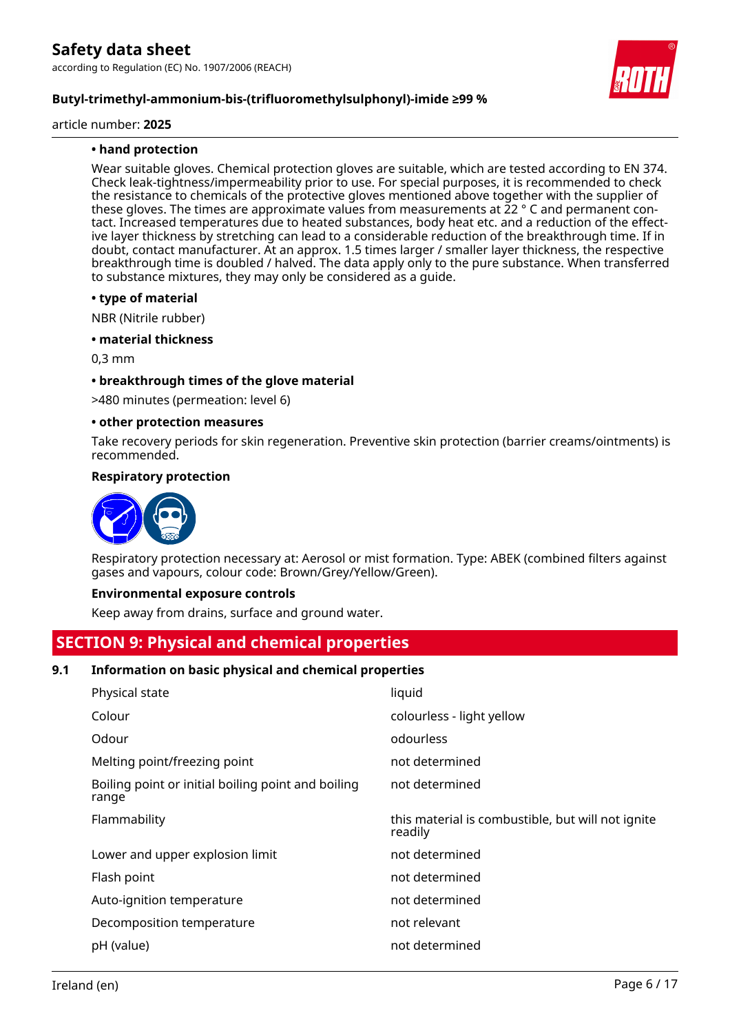

article number: **2025**

### **• hand protection**

Wear suitable gloves. Chemical protection gloves are suitable, which are tested according to EN 374. Check leak-tightness/impermeability prior to use. For special purposes, it is recommended to check the resistance to chemicals of the protective gloves mentioned above together with the supplier of these gloves. The times are approximate values from measurements at 22 ° C and permanent contact. Increased temperatures due to heated substances, body heat etc. and a reduction of the effective layer thickness by stretching can lead to a considerable reduction of the breakthrough time. If in doubt, contact manufacturer. At an approx. 1.5 times larger / smaller layer thickness, the respective breakthrough time is doubled / halved. The data apply only to the pure substance. When transferred to substance mixtures, they may only be considered as a guide.

#### **• type of material**

NBR (Nitrile rubber)

#### **• material thickness**

0,3 mm

#### **• breakthrough times of the glove material**

>480 minutes (permeation: level 6)

#### **• other protection measures**

Take recovery periods for skin regeneration. Preventive skin protection (barrier creams/ointments) is recommended.

#### **Respiratory protection**



Respiratory protection necessary at: Aerosol or mist formation. Type: ABEK (combined filters against gases and vapours, colour code: Brown/Grey/Yellow/Green).

#### **Environmental exposure controls**

Keep away from drains, surface and ground water.

# **SECTION 9: Physical and chemical properties**

#### **9.1 Information on basic physical and chemical properties**

| liquid                                                       |
|--------------------------------------------------------------|
| colourless - light yellow                                    |
| odourless                                                    |
| not determined                                               |
| not determined                                               |
| this material is combustible, but will not ignite<br>readily |
| not determined                                               |
| not determined                                               |
| not determined                                               |
| not relevant                                                 |
| not determined                                               |
|                                                              |

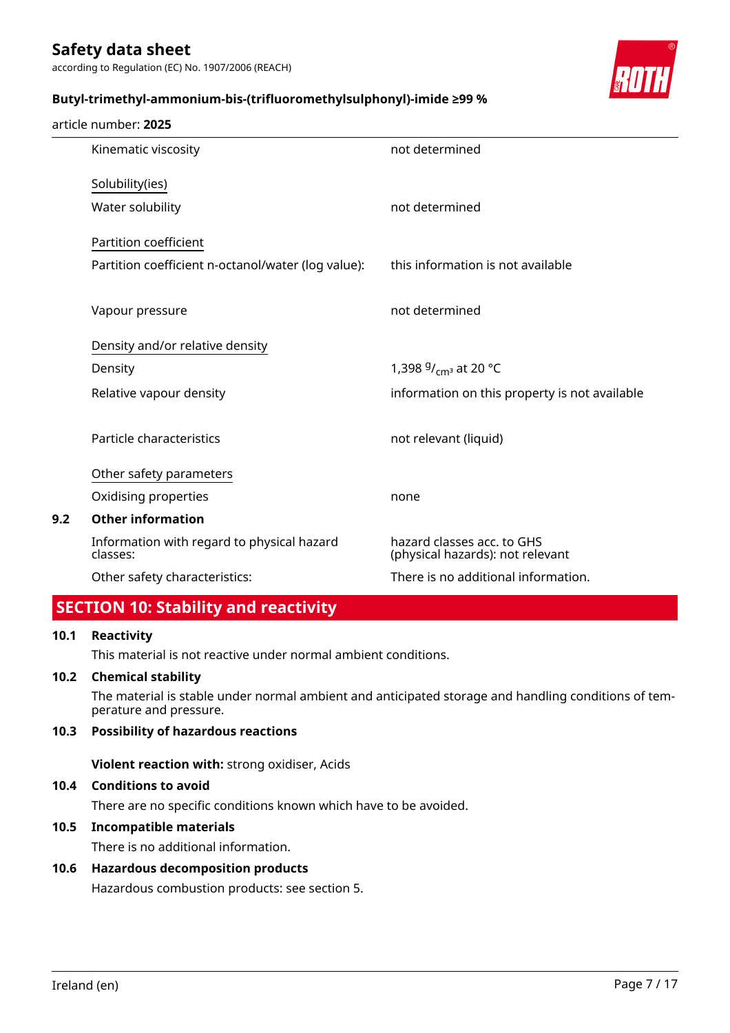according to Regulation (EC) No. 1907/2006 (REACH)

### **Butyl-trimethyl-ammonium-bis-(trifluoromethylsulphonyl)-imide ≥99 %**



|     | article number: 2025                                   |                                                                |
|-----|--------------------------------------------------------|----------------------------------------------------------------|
|     | Kinematic viscosity                                    | not determined                                                 |
|     | Solubility(ies)                                        |                                                                |
|     | Water solubility                                       | not determined                                                 |
|     | Partition coefficient                                  |                                                                |
|     | Partition coefficient n-octanol/water (log value):     | this information is not available                              |
|     | Vapour pressure                                        | not determined                                                 |
|     | Density and/or relative density                        |                                                                |
|     | Density                                                | 1,398 $9/_{cm^3}$ at 20 °C                                     |
|     | Relative vapour density                                | information on this property is not available                  |
|     | Particle characteristics                               | not relevant (liquid)                                          |
|     | Other safety parameters                                |                                                                |
|     | Oxidising properties                                   | none                                                           |
| 9.2 | <b>Other information</b>                               |                                                                |
|     | Information with regard to physical hazard<br>classes: | hazard classes acc. to GHS<br>(physical hazards): not relevant |
|     | Other safety characteristics:                          | There is no additional information.                            |

# **SECTION 10: Stability and reactivity**

#### **10.1 Reactivity**

This material is not reactive under normal ambient conditions.

#### **10.2 Chemical stability**

The material is stable under normal ambient and anticipated storage and handling conditions of temperature and pressure.

# **10.3 Possibility of hazardous reactions**

**Violent reaction with:** strong oxidiser, Acids

# **10.4 Conditions to avoid**

There are no specific conditions known which have to be avoided.

# **10.5 Incompatible materials**

There is no additional information.

# **10.6 Hazardous decomposition products**

Hazardous combustion products: see section 5.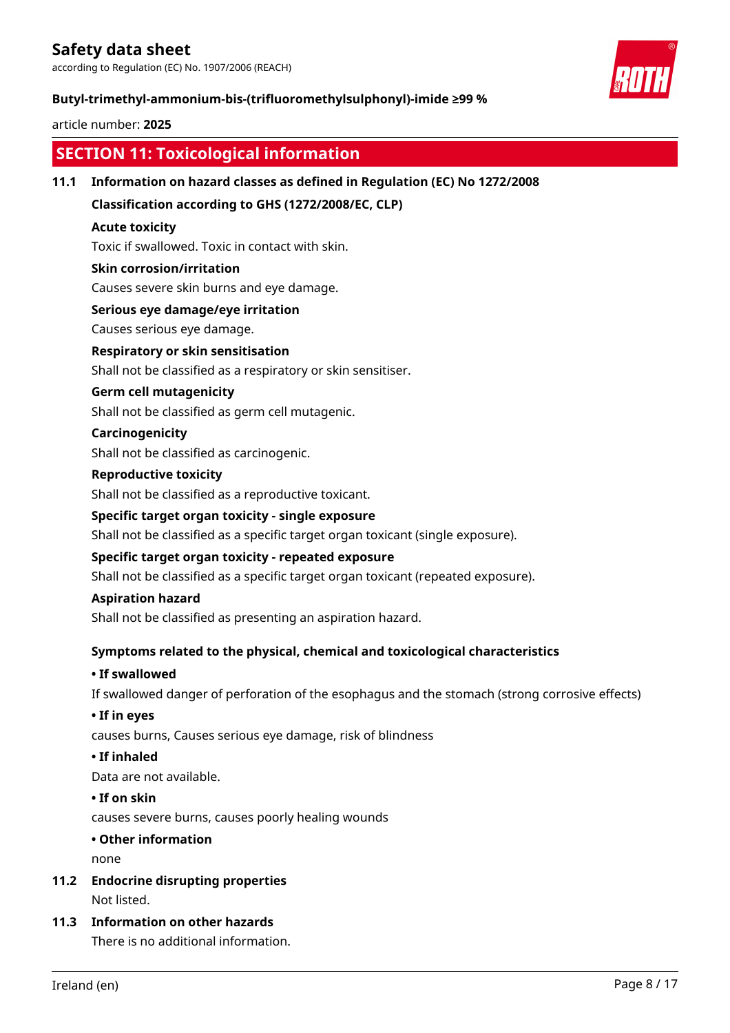according to Regulation (EC) No. 1907/2006 (REACH)

# **Butyl-trimethyl-ammonium-bis-(trifluoromethylsulphonyl)-imide ≥99 %**

# article number: **2025**

|      | <b>SECTION 11: Toxicological information</b>                                                                                                                                                                             |                                                                                                |  |                                                             |  |  |  |
|------|--------------------------------------------------------------------------------------------------------------------------------------------------------------------------------------------------------------------------|------------------------------------------------------------------------------------------------|--|-------------------------------------------------------------|--|--|--|
| 11.1 | Information on hazard classes as defined in Regulation (EC) No 1272/2008                                                                                                                                                 |                                                                                                |  |                                                             |  |  |  |
|      | Classification according to GHS (1272/2008/EC, CLP)                                                                                                                                                                      |                                                                                                |  |                                                             |  |  |  |
|      | <b>Acute toxicity</b>                                                                                                                                                                                                    |                                                                                                |  |                                                             |  |  |  |
|      | Toxic if swallowed. Toxic in contact with skin.                                                                                                                                                                          |                                                                                                |  |                                                             |  |  |  |
|      | <b>Skin corrosion/irritation</b>                                                                                                                                                                                         |                                                                                                |  |                                                             |  |  |  |
|      | Causes severe skin burns and eye damage.                                                                                                                                                                                 |                                                                                                |  |                                                             |  |  |  |
|      | Serious eye damage/eye irritation                                                                                                                                                                                        |                                                                                                |  |                                                             |  |  |  |
|      | Causes serious eye damage.                                                                                                                                                                                               |                                                                                                |  |                                                             |  |  |  |
|      | <b>Respiratory or skin sensitisation</b>                                                                                                                                                                                 |                                                                                                |  |                                                             |  |  |  |
|      | Shall not be classified as a respiratory or skin sensitiser.                                                                                                                                                             |                                                                                                |  |                                                             |  |  |  |
|      | <b>Germ cell mutagenicity</b>                                                                                                                                                                                            |                                                                                                |  |                                                             |  |  |  |
|      | Shall not be classified as germ cell mutagenic.                                                                                                                                                                          |                                                                                                |  |                                                             |  |  |  |
|      | Carcinogenicity                                                                                                                                                                                                          |                                                                                                |  |                                                             |  |  |  |
|      | Shall not be classified as carcinogenic.                                                                                                                                                                                 |                                                                                                |  |                                                             |  |  |  |
|      | <b>Reproductive toxicity</b><br>Shall not be classified as a reproductive toxicant.<br>Specific target organ toxicity - single exposure                                                                                  |                                                                                                |  |                                                             |  |  |  |
|      |                                                                                                                                                                                                                          |                                                                                                |  |                                                             |  |  |  |
|      |                                                                                                                                                                                                                          |                                                                                                |  |                                                             |  |  |  |
|      | Shall not be classified as a specific target organ toxicant (single exposure).<br>Specific target organ toxicity - repeated exposure<br>Shall not be classified as a specific target organ toxicant (repeated exposure). |                                                                                                |  |                                                             |  |  |  |
|      |                                                                                                                                                                                                                          |                                                                                                |  | <b>Aspiration hazard</b>                                    |  |  |  |
|      |                                                                                                                                                                                                                          |                                                                                                |  | Shall not be classified as presenting an aspiration hazard. |  |  |  |
|      | Symptoms related to the physical, chemical and toxicological characteristics                                                                                                                                             |                                                                                                |  |                                                             |  |  |  |
|      | • If swallowed                                                                                                                                                                                                           |                                                                                                |  |                                                             |  |  |  |
|      |                                                                                                                                                                                                                          | If swallowed danger of perforation of the esophagus and the stomach (strong corrosive effects) |  |                                                             |  |  |  |
|      |                                                                                                                                                                                                                          | • If in eyes                                                                                   |  |                                                             |  |  |  |
|      | causes burns, Causes serious eye damage, risk of blindness                                                                                                                                                               |                                                                                                |  |                                                             |  |  |  |
|      | • If inhaled<br>Data are not available.                                                                                                                                                                                  |                                                                                                |  |                                                             |  |  |  |
|      |                                                                                                                                                                                                                          |                                                                                                |  | • If on skin                                                |  |  |  |
|      | causes severe burns, causes poorly healing wounds                                                                                                                                                                        |                                                                                                |  |                                                             |  |  |  |
|      | • Other information                                                                                                                                                                                                      |                                                                                                |  |                                                             |  |  |  |
|      | none<br><b>Endocrine disrupting properties</b>                                                                                                                                                                           |                                                                                                |  |                                                             |  |  |  |
|      |                                                                                                                                                                                                                          |                                                                                                |  | 11.2                                                        |  |  |  |
|      | Not listed.                                                                                                                                                                                                              |                                                                                                |  |                                                             |  |  |  |
| 11.3 | <b>Information on other hazards</b>                                                                                                                                                                                      |                                                                                                |  |                                                             |  |  |  |
|      | There is no additional information.                                                                                                                                                                                      |                                                                                                |  |                                                             |  |  |  |
|      | Page 8 / 17<br>Ireland (en)                                                                                                                                                                                              |                                                                                                |  |                                                             |  |  |  |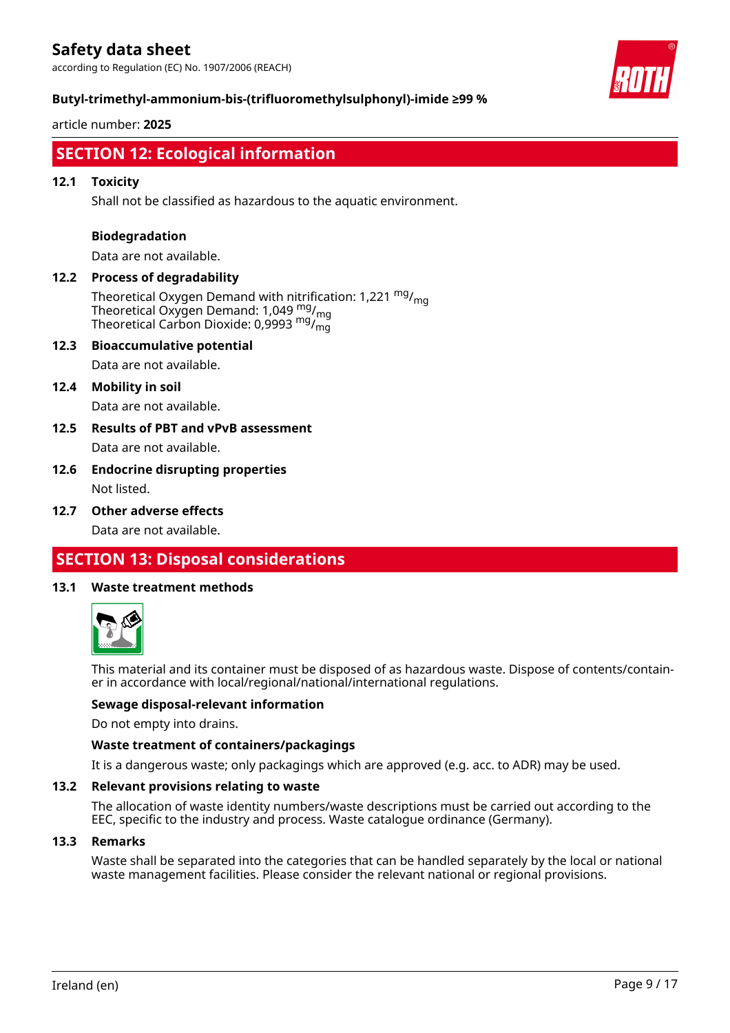according to Regulation (EC) No. 1907/2006 (REACH)



### **Butyl-trimethyl-ammonium-bis-(trifluoromethylsulphonyl)-imide ≥99 %**

article number: **2025**

# **SECTION 12: Ecological information**

### **12.1 Toxicity**

Shall not be classified as hazardous to the aquatic environment.

#### **Biodegradation**

Data are not available.

#### **12.2 Process of degradability**

Theoretical Oxygen Demand with nitrification: 1,221  $mg/m<sub>0</sub>$ Theoretical Oxygen Demand: 1,049  $_{\rm mg}^{\rm mg}/_{\rm mg}$ Theoretical Carbon Dioxide: 0,9993  $\mathrm{^{mg} /_{mg}^{-1}}}$ 

# **12.3 Bioaccumulative potential**

Data are not available.

### **12.4 Mobility in soil**

Data are not available.

**12.5 Results of PBT and vPvB assessment** Data are not available.

# **12.6 Endocrine disrupting properties** Not listed.

**12.7 Other adverse effects**

Data are not available.

# **SECTION 13: Disposal considerations**

#### **13.1 Waste treatment methods**



This material and its container must be disposed of as hazardous waste. Dispose of contents/container in accordance with local/regional/national/international regulations.

#### **Sewage disposal-relevant information**

Do not empty into drains.

#### **Waste treatment of containers/packagings**

It is a dangerous waste; only packagings which are approved (e.g. acc. to ADR) may be used.

#### **13.2 Relevant provisions relating to waste**

The allocation of waste identity numbers/waste descriptions must be carried out according to the EEC, specific to the industry and process. Waste catalogue ordinance (Germany).

#### **13.3 Remarks**

Waste shall be separated into the categories that can be handled separately by the local or national waste management facilities. Please consider the relevant national or regional provisions.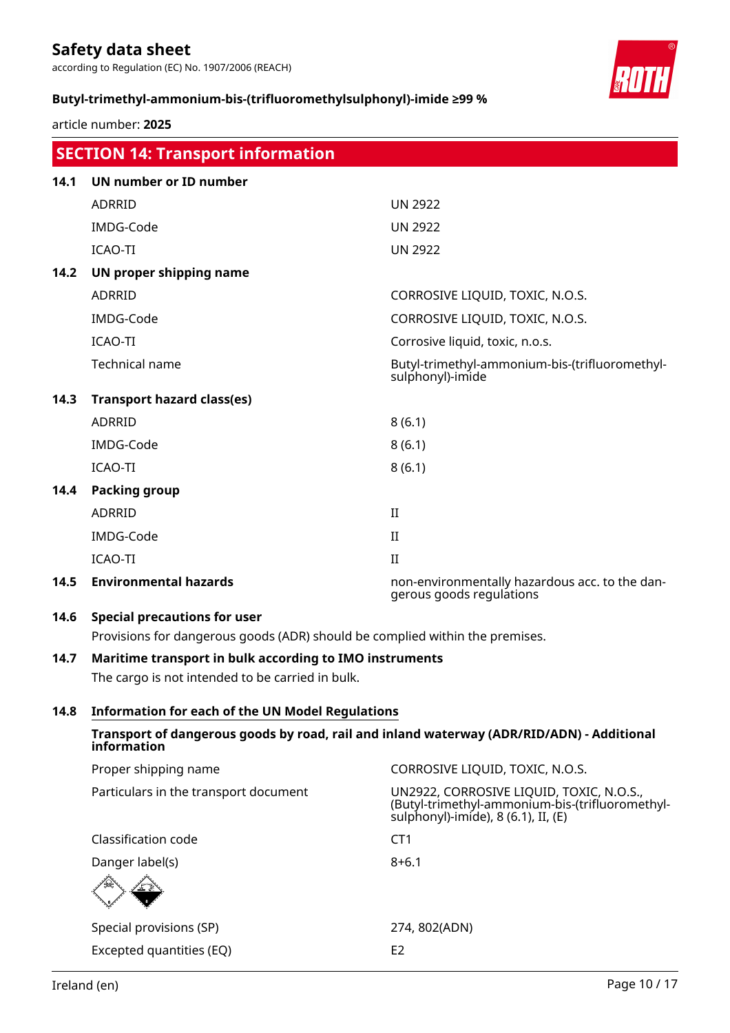according to Regulation (EC) No. 1907/2006 (REACH)

# **Butyl-trimethyl-ammonium-bis-(trifluoromethylsulphonyl)-imide ≥99 %**

article number: **2025**

|                                                                                           | <b>SECTION 14: Transport information</b>                                     |                                                                            |
|-------------------------------------------------------------------------------------------|------------------------------------------------------------------------------|----------------------------------------------------------------------------|
| 14.1                                                                                      | UN number or ID number                                                       |                                                                            |
|                                                                                           | <b>ADRRID</b>                                                                | <b>UN 2922</b>                                                             |
|                                                                                           | IMDG-Code                                                                    | <b>UN 2922</b>                                                             |
|                                                                                           | ICAO-TI                                                                      | <b>UN 2922</b>                                                             |
| 14.2                                                                                      | UN proper shipping name                                                      |                                                                            |
|                                                                                           | <b>ADRRID</b>                                                                | CORROSIVE LIQUID, TOXIC, N.O.S.                                            |
|                                                                                           | IMDG-Code                                                                    | CORROSIVE LIQUID, TOXIC, N.O.S.                                            |
|                                                                                           | ICAO-TI                                                                      | Corrosive liquid, toxic, n.o.s.                                            |
|                                                                                           | Technical name                                                               | Butyl-trimethyl-ammonium-bis-(trifluoromethyl-<br>sulphonyl)-imide         |
| 14.3                                                                                      | <b>Transport hazard class(es)</b>                                            |                                                                            |
|                                                                                           | <b>ADRRID</b>                                                                | 8(6.1)                                                                     |
|                                                                                           | IMDG-Code                                                                    | 8(6.1)                                                                     |
|                                                                                           | ICAO-TI                                                                      | 8(6.1)                                                                     |
| 14.4                                                                                      | <b>Packing group</b>                                                         |                                                                            |
|                                                                                           | <b>ADRRID</b>                                                                | II                                                                         |
|                                                                                           | IMDG-Code                                                                    | II                                                                         |
|                                                                                           | ICAO-TI                                                                      | $\mathbf{I}$                                                               |
| 14.5                                                                                      | <b>Environmental hazards</b>                                                 | non-environmentally hazardous acc. to the dan-<br>gerous goods regulations |
| 14.6                                                                                      | <b>Special precautions for user</b>                                          |                                                                            |
|                                                                                           | Provisions for dangerous goods (ADR) should be complied within the premises. |                                                                            |
| 14.7                                                                                      | Maritime transport in bulk according to IMO instruments                      |                                                                            |
|                                                                                           | The cargo is not intended to be carried in bulk.                             |                                                                            |
| 14.8                                                                                      | <b>Information for each of the UN Model Regulations</b>                      |                                                                            |
| Transport of dangerous goods by road, rail and inland waterway (ADR/RID/ADN) - Additional |                                                                              |                                                                            |

| information                           |                                                                                                                                    |
|---------------------------------------|------------------------------------------------------------------------------------------------------------------------------------|
| Proper shipping name                  | CORROSIVE LIQUID, TOXIC, N.O.S.                                                                                                    |
| Particulars in the transport document | UN2922, CORROSIVE LIQUID, TOXIC, N.O.S.,<br>(Butyl-trimethyl-ammonium-bis-(trifluoromethyl-<br>sulphonyl)-imide), 8 (6.1), II, (E) |
| Classification code                   | CT <sub>1</sub>                                                                                                                    |
| Danger label(s)                       | $8 + 6.1$                                                                                                                          |
| Special provisions (SP)               | 274, 802(ADN)                                                                                                                      |
| Excepted quantities (EQ)              | E <sub>2</sub>                                                                                                                     |

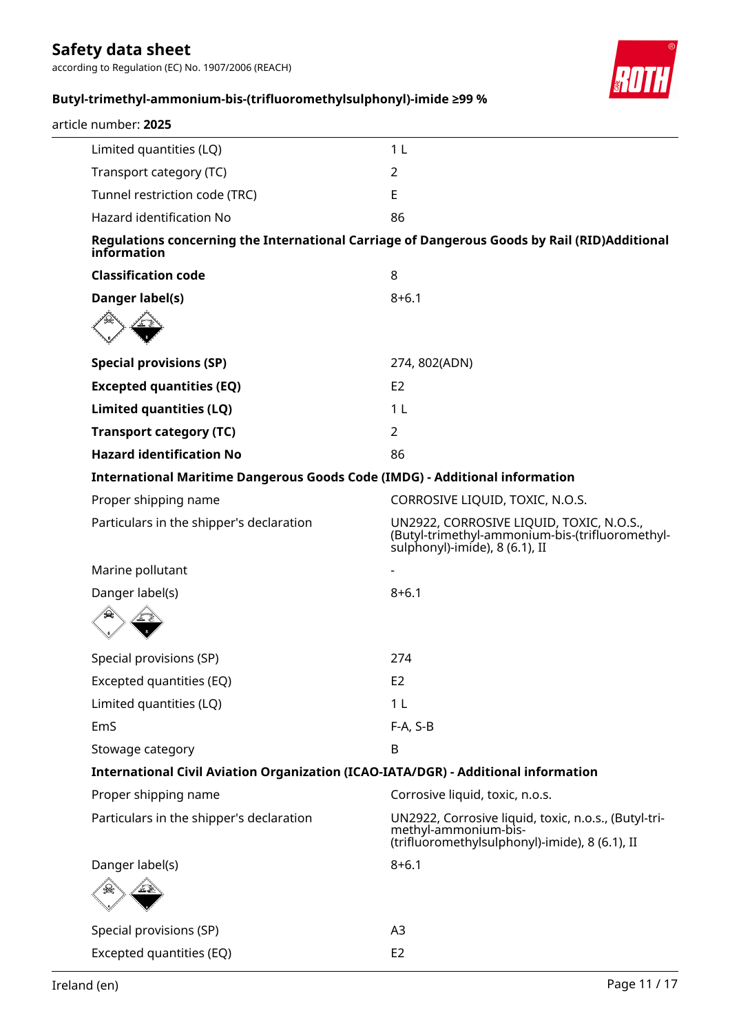according to Regulation (EC) No. 1907/2006 (REACH)



# **Butyl-trimethyl-ammonium-bis-(trifluoromethylsulphonyl)-imide ≥99 %**

| article number: 2025                                                               |                                                                                                                                |
|------------------------------------------------------------------------------------|--------------------------------------------------------------------------------------------------------------------------------|
| Limited quantities (LQ)                                                            | 1 <sub>L</sub>                                                                                                                 |
| Transport category (TC)                                                            | 2                                                                                                                              |
| Tunnel restriction code (TRC)                                                      | E                                                                                                                              |
| Hazard identification No                                                           | 86                                                                                                                             |
| information                                                                        | Regulations concerning the International Carriage of Dangerous Goods by Rail (RID)Additional                                   |
| <b>Classification code</b>                                                         | 8                                                                                                                              |
| Danger label(s)                                                                    | $8 + 6.1$                                                                                                                      |
|                                                                                    |                                                                                                                                |
| <b>Special provisions (SP)</b>                                                     | 274, 802(ADN)                                                                                                                  |
| <b>Excepted quantities (EQ)</b>                                                    | E <sub>2</sub>                                                                                                                 |
| Limited quantities (LQ)                                                            | 1 <sub>L</sub>                                                                                                                 |
| <b>Transport category (TC)</b>                                                     | 2                                                                                                                              |
| <b>Hazard identification No</b>                                                    | 86                                                                                                                             |
| International Maritime Dangerous Goods Code (IMDG) - Additional information        |                                                                                                                                |
| Proper shipping name                                                               | CORROSIVE LIQUID, TOXIC, N.O.S.                                                                                                |
| Particulars in the shipper's declaration                                           | UN2922, CORROSIVE LIQUID, TOXIC, N.O.S.,<br>(Butyl-trimethyl-ammonium-bis-(trifluoromethyl-<br>sulphonyl)-imide), 8 (6.1), II  |
| Marine pollutant                                                                   |                                                                                                                                |
| Danger label(s)                                                                    | $8 + 6.1$                                                                                                                      |
|                                                                                    |                                                                                                                                |
| Special provisions (SP)                                                            | 274                                                                                                                            |
| Excepted quantities (EQ)                                                           | E <sub>2</sub>                                                                                                                 |
| Limited quantities (LQ)                                                            | 1 <sub>L</sub>                                                                                                                 |
| EmS                                                                                | F-A, S-B                                                                                                                       |
| Stowage category                                                                   | B                                                                                                                              |
| International Civil Aviation Organization (ICAO-IATA/DGR) - Additional information |                                                                                                                                |
| Proper shipping name                                                               | Corrosive liquid, toxic, n.o.s.                                                                                                |
| Particulars in the shipper's declaration                                           | UN2922, Corrosive liquid, toxic, n.o.s., (Butyl-tri-<br>methyl-ammonium-bis-<br>(trifluoromethylsulphonyl)-imide), 8 (6.1), II |
| Danger label(s)                                                                    | $8 + 6.1$                                                                                                                      |
|                                                                                    |                                                                                                                                |
| Special provisions (SP)                                                            | A <sub>3</sub>                                                                                                                 |
| Excepted quantities (EQ)                                                           | E <sub>2</sub>                                                                                                                 |
|                                                                                    |                                                                                                                                |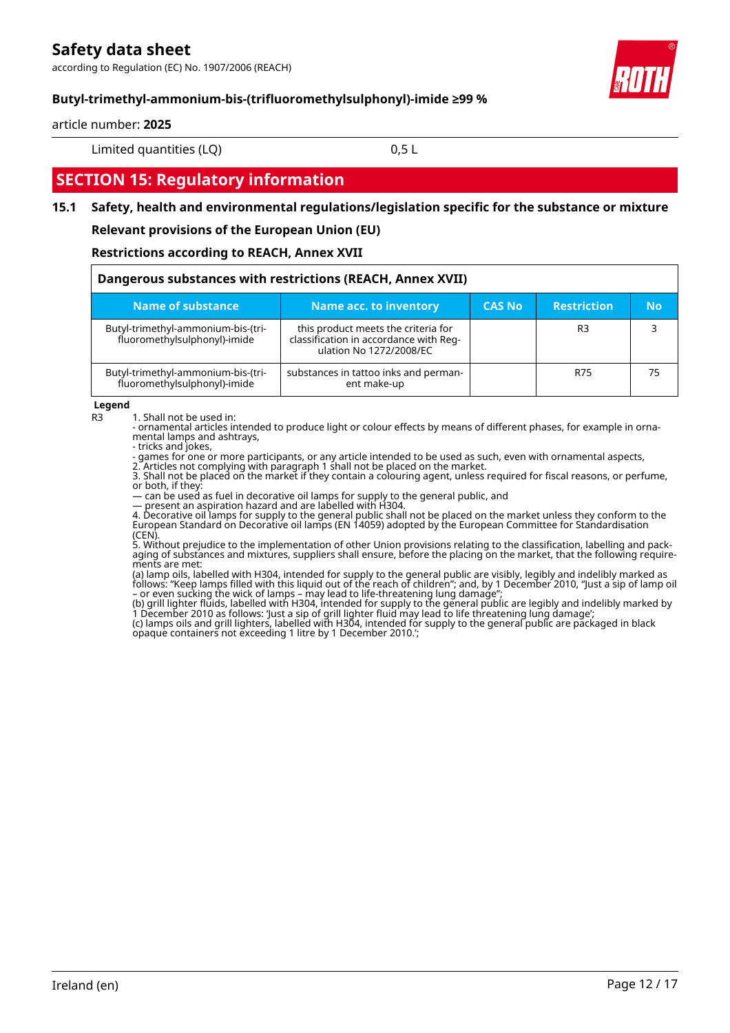according to Regulation (EC) No. 1907/2006 (REACH)



# **Butyl-trimethyl-ammonium-bis-(trifluoromethylsulphonyl)-imide ≥99 %**

#### article number: **2025**

Limited quantities (LQ) 0,5 L

# **SECTION 15: Regulatory information**

# **15.1 Safety, health and environmental regulations/legislation specific for the substance or mixture**

#### **Relevant provisions of the European Union (EU)**

#### **Restrictions according to REACH, Annex XVII**

| Dangerous substances with restrictions (REACH, Annex XVII)         |                                                                                                          |               |                    |           |
|--------------------------------------------------------------------|----------------------------------------------------------------------------------------------------------|---------------|--------------------|-----------|
| <b>Name of substance</b>                                           | Name acc. to inventory                                                                                   | <b>CAS No</b> | <b>Restriction</b> | <b>No</b> |
| Butyl-trimethyl-ammonium-bis-(tri-<br>fluoromethylsulphonyl)-imide | this product meets the criteria for<br>classification in accordance with Reg-<br>ulation No 1272/2008/EC |               | R <sub>3</sub>     |           |
| Butyl-trimethyl-ammonium-bis-(tri-<br>fluoromethylsulphonyl)-imide | substances in tattoo inks and perman-<br>ent make-up                                                     |               | R75                | 75        |

#### **Legend**

R3 1. Shall not be used in:

- ornamental articles intended to produce light or colour effects by means of different phases, for example in ornamental lamps and ashtrays,

- tricks and jokes,

- games for one or more participants, or any article intended to be used as such, even with ornamental aspects,

2. Articles not complying with paragraph 1 shall not be placed on the market. 3. Shall not be placed on the market if they contain a colouring agent, unless required for fiscal reasons, or perfume, or both, if they:

— can be used as fuel in decorative oil lamps for supply to the general public, and

— present an aspiration hazard and are labelled with H304.

4. Decorative oil lamps for supply to the general public shall not be placed on the market unless they conform to the European Standard on Decorative oil lamps (EN 14059) adopted by the European Committee for Standardisation (CEN).

5. Without prejudice to the implementation of other Union provisions relating to the classification, labelling and packaging of substances and mixtures, suppliers shall ensure, before the placing on the market, that the following requirements are met:

(a) lamp oils, labelled with H304, intended for supply to the general public are visibly, legibly and indelibly marked as follows: "Keep lamps filled with this liquid out of the reach of children"; and, by 1 December 2010, "Just a sip of lamp oil – or even sucking the wick of lamps – may lead to life-threatening lung damage";

(b) grill lighter fluids, labelled with H304, intended for supply to the general public are legibly and indelibly marked by 1 December 2010 as follows: 'Just a sip of grill lighter fluid may lead to life threatening lung damage';

(c) lamps oils and grill lighters, labelled with H304, intended for supply to the general public are packaged in black opaque containers not exceeding 1 litre by 1 December 2010.';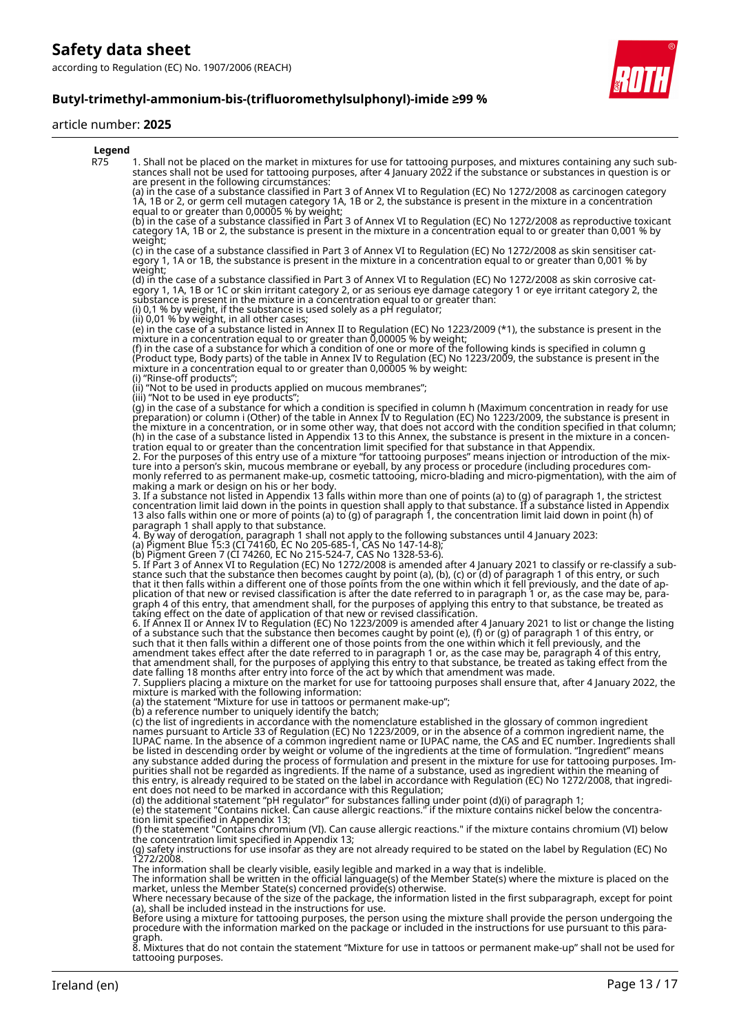according to Regulation (EC) No. 1907/2006 (REACH)



#### article number: **2025**



8. Mixtures that do not contain the statement "Mixture for use in tattoos or permanent make-up" shall not be used for tattooing purposes.

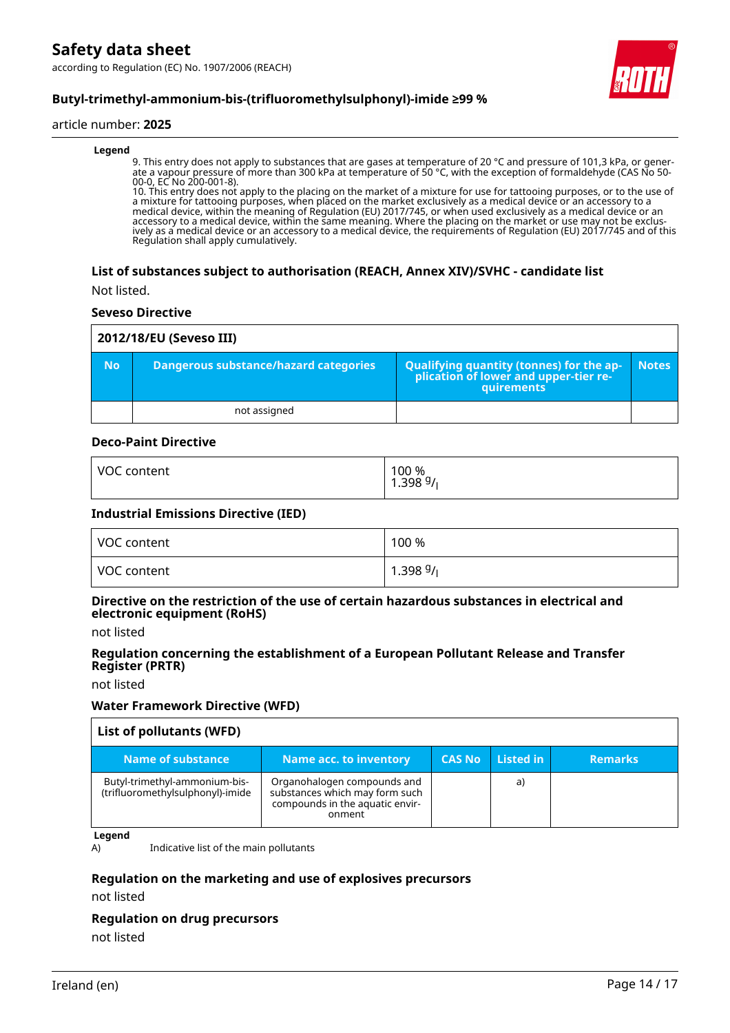according to Regulation (EC) No. 1907/2006 (REACH)



# **Butyl-trimethyl-ammonium-bis-(trifluoromethylsulphonyl)-imide ≥99 %**

#### article number: **2025**

#### **Legend**

9. This entry does not apply to substances that are gases at temperature of 20 °C and pressure of 101,3 kPa, or generate a vapour pressure of more than 300 kPa at temperature of 50 °C, with the exception of formaldehyde (CAS No 50- 00-0, EC No 200-001-8).

10. This entry does not apply to the placing on the market of a mixture for use for tattooing purposes, or to the use of a mixture for tattooing purposes, when placed on the market exclusively as a medical device or an accessory to a medical device, within the meaning of Regulation (EU) 2017/745, or when used exclusively as a medical device or an accessory to a medical device, within the same meaning. Where the placing on the market or use may not be exclusively as a medical device or an accessory to a medical device, the requirements of Regulation (EU) 2017/745 and of this Regulation shall apply cumulatively.

#### **List of substances subject to authorisation (REACH, Annex XIV)/SVHC - candidate list**

Not listed.

#### **Seveso Directive**

|           | 2012/18/EU (Seveso III)               |                                                                                                   |              |  |
|-----------|---------------------------------------|---------------------------------------------------------------------------------------------------|--------------|--|
| <b>No</b> | Dangerous substance/hazard categories | Qualifying quantity (tonnes) for the application of lower and upper-tier re-<br><b>auirements</b> | <b>Notes</b> |  |
|           | not assigned                          |                                                                                                   |              |  |

### **Deco-Paint Directive**

| VOC content | 100 %<br>1.398 <sup>g</sup> /լ |
|-------------|--------------------------------|
|-------------|--------------------------------|

#### **Industrial Emissions Directive (IED)**

| VOC content | 100 %                      |
|-------------|----------------------------|
| VOC content | $1.39899$ / $\overline{ }$ |

#### **Directive on the restriction of the use of certain hazardous substances in electrical and electronic equipment (RoHS)**

not listed

#### **Regulation concerning the establishment of a European Pollutant Release and Transfer Register (PRTR)**

not listed

#### **Water Framework Directive (WFD)**

| List of pollutants (WFD)                                          |                                                                                                            |               |           |                |
|-------------------------------------------------------------------|------------------------------------------------------------------------------------------------------------|---------------|-----------|----------------|
| Name of substance                                                 | <b>Name acc. to inventory</b>                                                                              | <b>CAS No</b> | Listed in | <b>Remarks</b> |
| Butyl-trimethyl-ammonium-bis-<br>(trifluoromethylsulphonyl)-imide | Organohalogen compounds and<br>substances which may form such<br>compounds in the aquatic envir-<br>onment |               | a)        |                |

**Legend**

A) Indicative list of the main pollutants

#### **Regulation on the marketing and use of explosives precursors**

not listed

#### **Regulation on drug precursors**

not listed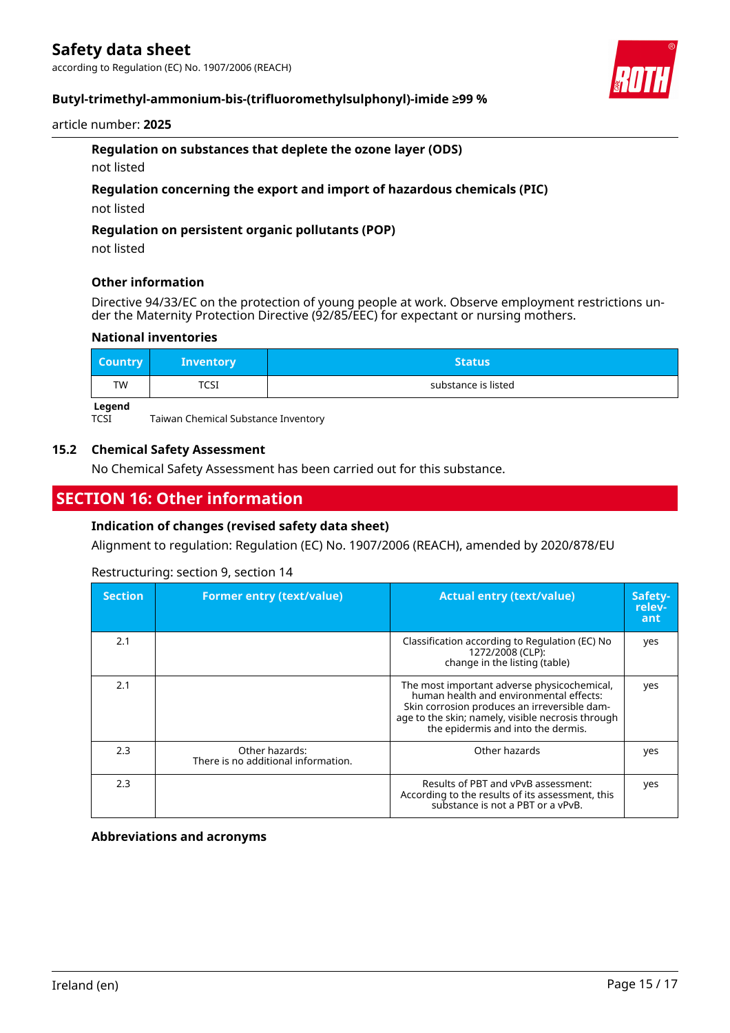according to Regulation (EC) No. 1907/2006 (REACH)



# **Butyl-trimethyl-ammonium-bis-(trifluoromethylsulphonyl)-imide ≥99 %**

#### article number: **2025**

# **Regulation on substances that deplete the ozone layer (ODS)**

not listed

## **Regulation concerning the export and import of hazardous chemicals (PIC)**

not listed

### **Regulation on persistent organic pollutants (POP)**

not listed

## **Other information**

Directive 94/33/EC on the protection of young people at work. Observe employment restrictions under the Maternity Protection Directive (92/85/EEC) for expectant or nursing mothers.

## **National inventories**

| <b>Country</b> | <b>Inventory</b> | <b>Status</b>       |
|----------------|------------------|---------------------|
| <b>TW</b>      | TCSI             | substance is listed |
| <b>Logonal</b> |                  |                     |

**Legend**<br>TCSI

Taiwan Chemical Substance Inventory

## **15.2 Chemical Safety Assessment**

No Chemical Safety Assessment has been carried out for this substance.

# **SECTION 16: Other information**

# **Indication of changes (revised safety data sheet)**

Alignment to regulation: Regulation (EC) No. 1907/2006 (REACH), amended by 2020/878/EU

### Restructuring: section 9, section 14

| <b>Section</b> | <b>Former entry (text/value)</b>                      | <b>Actual entry (text/value)</b>                                                                                                                                                                                                  | Safety-<br>relev-<br>ant |
|----------------|-------------------------------------------------------|-----------------------------------------------------------------------------------------------------------------------------------------------------------------------------------------------------------------------------------|--------------------------|
| 2.1            |                                                       | Classification according to Regulation (EC) No<br>1272/2008 (CLP):<br>change in the listing (table)                                                                                                                               | yes                      |
| 2.1            |                                                       | The most important adverse physicochemical,<br>human health and environmental effects:<br>Skin corrosion produces an irreversible dam-<br>age to the skin; namely, visible necrosis through<br>the epidermis and into the dermis. | yes                      |
| 2.3            | Other hazards:<br>There is no additional information. | Other hazards                                                                                                                                                                                                                     | yes                      |
| 2.3            |                                                       | Results of PBT and vPvB assessment:<br>According to the results of its assessment, this<br>substance is not a PBT or a vPvB.                                                                                                      | yes                      |

#### **Abbreviations and acronyms**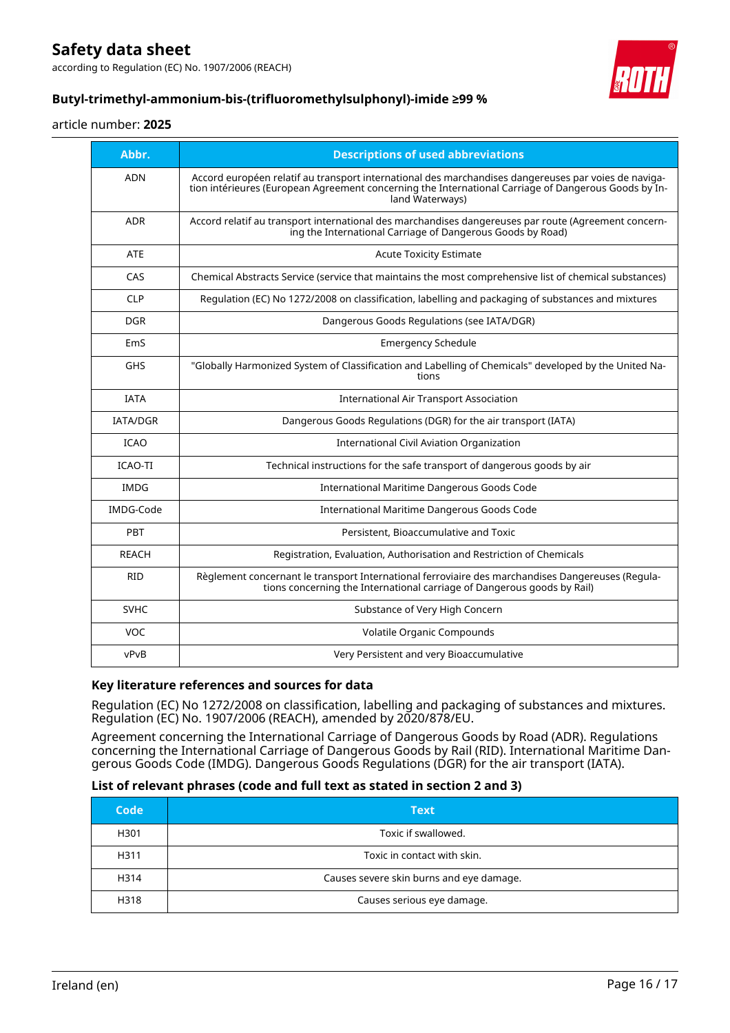according to Regulation (EC) No. 1907/2006 (REACH)



# **Butyl-trimethyl-ammonium-bis-(trifluoromethylsulphonyl)-imide ≥99 %**

#### article number: **2025**

| Abbr.            | <b>Descriptions of used abbreviations</b>                                                                                                                                                                                       |
|------------------|---------------------------------------------------------------------------------------------------------------------------------------------------------------------------------------------------------------------------------|
| <b>ADN</b>       | Accord européen relatif au transport international des marchandises dangereuses par voies de naviga-<br>tion intérieures (European Agreement concerning the International Carriage of Dangerous Goods by In-<br>land Waterways) |
| <b>ADR</b>       | Accord relatif au transport international des marchandises dangereuses par route (Agreement concern-<br>ing the International Carriage of Dangerous Goods by Road)                                                              |
| <b>ATE</b>       | <b>Acute Toxicity Estimate</b>                                                                                                                                                                                                  |
| CAS              | Chemical Abstracts Service (service that maintains the most comprehensive list of chemical substances)                                                                                                                          |
| <b>CLP</b>       | Regulation (EC) No 1272/2008 on classification, labelling and packaging of substances and mixtures                                                                                                                              |
| <b>DGR</b>       | Dangerous Goods Regulations (see IATA/DGR)                                                                                                                                                                                      |
| EmS              | <b>Emergency Schedule</b>                                                                                                                                                                                                       |
| <b>GHS</b>       | "Globally Harmonized System of Classification and Labelling of Chemicals" developed by the United Na-<br>tions                                                                                                                  |
| <b>IATA</b>      | <b>International Air Transport Association</b>                                                                                                                                                                                  |
| <b>IATA/DGR</b>  | Dangerous Goods Regulations (DGR) for the air transport (IATA)                                                                                                                                                                  |
| <b>ICAO</b>      | <b>International Civil Aviation Organization</b>                                                                                                                                                                                |
| <b>ICAO-TI</b>   | Technical instructions for the safe transport of dangerous goods by air                                                                                                                                                         |
| <b>IMDG</b>      | International Maritime Dangerous Goods Code                                                                                                                                                                                     |
| <b>IMDG-Code</b> | International Maritime Dangerous Goods Code                                                                                                                                                                                     |
| PBT              | Persistent, Bioaccumulative and Toxic                                                                                                                                                                                           |
| <b>REACH</b>     | Registration, Evaluation, Authorisation and Restriction of Chemicals                                                                                                                                                            |
| <b>RID</b>       | Règlement concernant le transport International ferroviaire des marchandises Dangereuses (Regula-<br>tions concerning the International carriage of Dangerous goods by Rail)                                                    |
| <b>SVHC</b>      | Substance of Very High Concern                                                                                                                                                                                                  |
| <b>VOC</b>       | Volatile Organic Compounds                                                                                                                                                                                                      |
| vPvB             | Very Persistent and very Bioaccumulative                                                                                                                                                                                        |

#### **Key literature references and sources for data**

Regulation (EC) No 1272/2008 on classification, labelling and packaging of substances and mixtures. Regulation (EC) No. 1907/2006 (REACH), amended by 2020/878/EU.

Agreement concerning the International Carriage of Dangerous Goods by Road (ADR). Regulations concerning the International Carriage of Dangerous Goods by Rail (RID). International Maritime Dangerous Goods Code (IMDG). Dangerous Goods Regulations (DGR) for the air transport (IATA).

# **List of relevant phrases (code and full text as stated in section 2 and 3)**

| Code | <b>Text</b>                              |
|------|------------------------------------------|
| H301 | Toxic if swallowed.                      |
| H311 | Toxic in contact with skin.              |
| H314 | Causes severe skin burns and eye damage. |
| H318 | Causes serious eye damage.               |